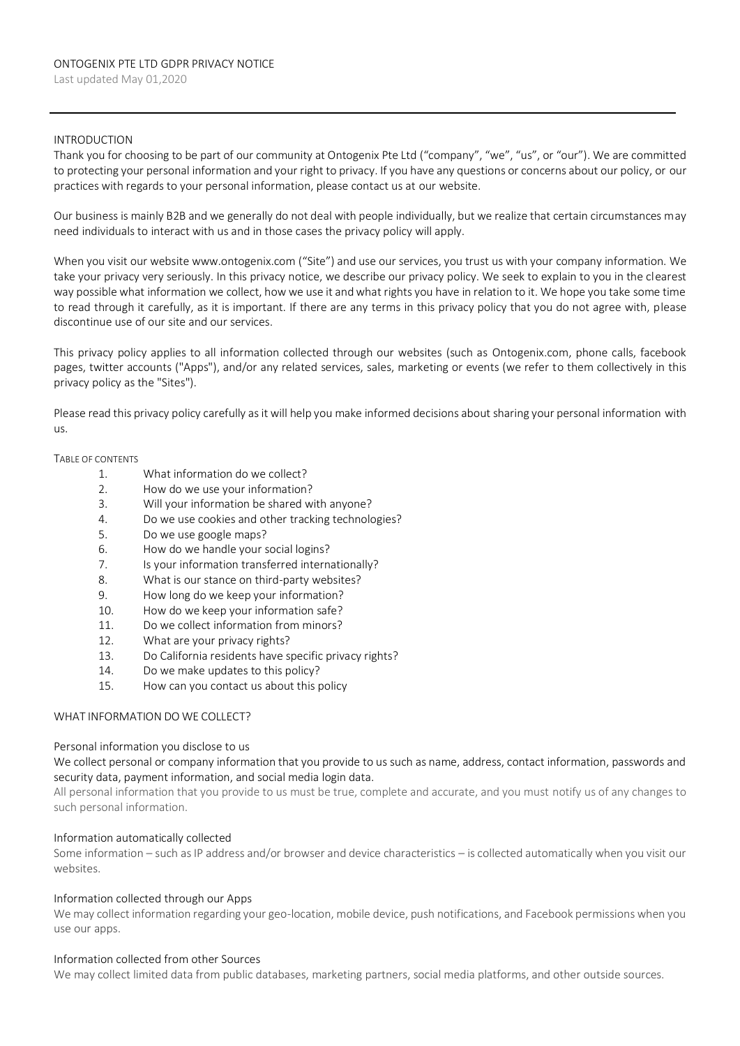### INTRODUCTION

Thank you for choosing to be part of our community at Ontogenix Pte Ltd ("company", "we", "us", or "our"). We are committed to protecting your personal information and your right to privacy. If you have any questions or concerns about our policy, or our practices with regards to your personal information, please contact us at our website.

Our business is mainly B2B and we generally do not deal with people individually, but we realize that certain circumstances may need individuals to interact with us and in those cases the privacy policy will apply.

When you visit our website www.ontogenix.com ("Site") and use our services, you trust us with your company information. We take your privacy very seriously. In this privacy notice, we describe our privacy policy. We seek to explain to you in the clearest way possible what information we collect, how we use it and what rights you have in relation to it. We hope you take some time to read through it carefully, as it is important. If there are any terms in this privacy policy that you do not agree with, please discontinue use of our site and our services.

This privacy policy applies to all information collected through our websites (such as Ontogenix.com, phone calls, facebook pages, twitter accounts ("Apps"), and/or any related services, sales, marketing or events (we refer to them collectively in this privacy policy as the "Sites").

Please read this privacy policy carefully as it will help you make informed decisions about sharing your personal information with us.

#### TABLE OF CONTENTS

- 1. What information do we collect?
- 2. How do we use your information?
- 3. Will your information be shared with anyone?
- 4. Do we use cookies and other tracking technologies?
- 5. Do we use google maps?
- 6. How do we handle your social logins?
- 7. Is your information transferred internationally?
- 8. What is our stance on third-party websites?
- 9. How long do we keep your information?
- 10. How do we keep your information safe?
- 11. Do we collect information from minors?
- 12. What are your privacy rights?
- 13. Do California residents have specific privacy rights?
- 14. Do we make updates to this policy?
- 15. How can you contact us about this policy

### WHAT INFORMATION DO WE COLLECT?

### Personal information you disclose to us

We collect personal or company information that you provide to us such as name, address, contact information, passwords and security data, payment information, and social media login data.

All personal information that you provide to us must be true, complete and accurate, and you must notify us of any changes to such personal information.

### Information automatically collected

Some information – such as IP address and/or browser and device characteristics – is collected automatically when you visit our websites.

### Information collected through our Apps

We may collect information regarding your geo-location, mobile device, push notifications, and Facebook permissions when you use our apps.

### Information collected from other Sources

We may collect limited data from public databases, marketing partners, social media platforms, and other outside sources.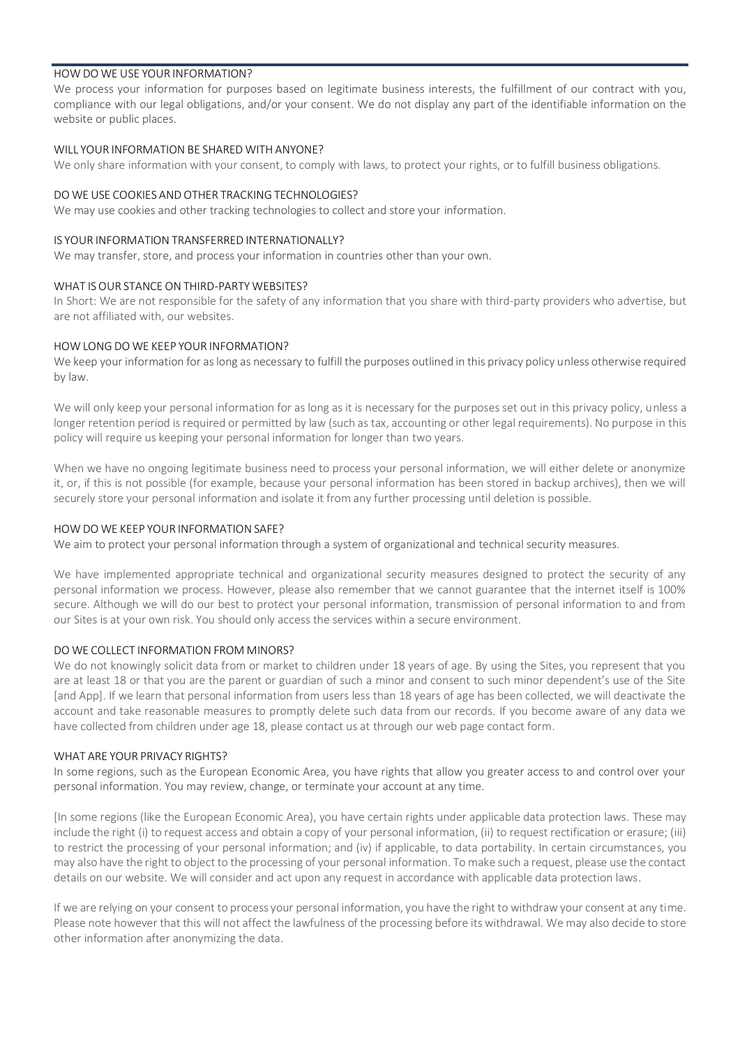## HOW DO WE USE YOUR INFORMATION?

We process your information for purposes based on legitimate business interests, the fulfillment of our contract with you, compliance with our legal obligations, and/or your consent. We do not display any part of the identifiable information on the website or public places.

## WILL YOUR INFORMATION BE SHARED WITH ANYONE?

We only share information with your consent, to comply with laws, to protect your rights, or to fulfill business obligations.

### DO WE USE COOKIES AND OTHER TRACKING TECHNOLOGIES?

We may use cookies and other tracking technologies to collect and store your information.

### IS YOUR INFORMATION TRANSFERRED INTERNATIONALLY?

We may transfer, store, and process your information in countries other than your own.

### WHAT IS OUR STANCE ON THIRD-PARTY WEBSITES?

In Short: We are not responsible for the safety of any information that you share with third-party providers who advertise, but are not affiliated with, our websites.

## HOW LONG DO WE KEEP YOUR INFORMATION?

We keep your information for as long as necessary to fulfill the purposes outlined in this privacy policy unless otherwise required by law.

We will only keep your personal information for as long as it is necessary for the purposes set out in this privacy policy, unless a longer retention period is required or permitted by law (such as tax, accounting or other legal requirements). No purpose in this policy will require us keeping your personal information for longer than two years.

When we have no ongoing legitimate business need to process your personal information, we will either delete or anonymize it, or, if this is not possible (for example, because your personal information has been stored in backup archives), then we will securely store your personal information and isolate it from any further processing until deletion is possible.

## HOW DO WE KEEP YOUR INFORMATION SAFE?

We aim to protect your personal information through a system of organizational and technical security measures.

We have implemented appropriate technical and organizational security measures designed to protect the security of any personal information we process. However, please also remember that we cannot guarantee that the internet itself is 100% secure. Although we will do our best to protect your personal information, transmission of personal information to and from our Sites is at your own risk. You should only access the services within a secure environment.

### DO WE COLLECT INFORMATION FROM MINORS?

We do not knowingly solicit data from or market to children under 18 years of age. By using the Sites, you represent that you are at least 18 or that you are the parent or guardian of such a minor and consent to such minor dependent's use of the Site [and App]. If we learn that personal information from users less than 18 years of age has been collected, we will deactivate the account and take reasonable measures to promptly delete such data from our records. If you become aware of any data we have collected from children under age 18, please contact us at through our web page contact form.

### WHAT ARE YOUR PRIVACY RIGHTS?

In some regions, such as the European Economic Area, you have rights that allow you greater access to and control over your personal information. You may review, change, or terminate your account at any time.

[In some regions (like the European Economic Area), you have certain rights under applicable data protection laws. These may include the right (i) to request access and obtain a copy of your personal information, (ii) to request rectification or erasure; (iii) to restrict the processing of your personal information; and (iv) if applicable, to data portability. In certain circumstances, you may also have the right to object to the processing of your personal information. To make such a request, please use the contact details on our website. We will consider and act upon any request in accordance with applicable data protection laws.

If we are relying on your consent to process your personal information, you have the right to withdraw your consent at any time. Please note however that this will not affect the lawfulness of the processing before its withdrawal. We may also decide to store other information after anonymizing the data.